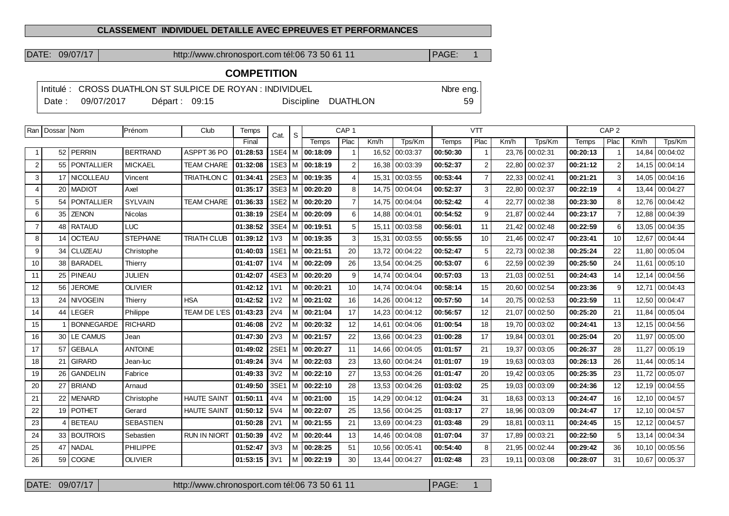## **CLASSEMENT INDIVIDUEL DETAILLE AVEC EPREUVES ET PERFORMANCES**

DATE: 09/07/17 http://www.chronosport.com tél:06 73 50 61 11 | PAGE: 1

## **COMPETITION**

|          |            |                 | Intitulé : CROSS DUATHLON ST SULPICE DE ROYAN : INDIVIDUEL |                     | Nbre eng. |
|----------|------------|-----------------|------------------------------------------------------------|---------------------|-----------|
| ○ Date : | 09/07/2017 | Départ: $09:15$ |                                                            | Discipline DUATHLON | $59 \mid$ |

| Ran            | Dossar   Nom |                          | Prénom           | Club                | Temps    | Cat.             | <sub>S</sub> |                     | CAP <sub>1</sub>      |       |                |          | <b>VTT</b>     |      |                |          |                | CAP <sub>2</sub> |                |  |  |
|----------------|--------------|--------------------------|------------------|---------------------|----------|------------------|--------------|---------------------|-----------------------|-------|----------------|----------|----------------|------|----------------|----------|----------------|------------------|----------------|--|--|
|                |              |                          |                  |                     | Final    |                  |              | Temps               | Plac                  | Km/h  | Tps/Km         | Temps    | Plac           | Km/h | Tps/Km         | Temps    | Plac           | Km/h             | Tps/Km         |  |  |
| -1             | 52           | PERRIN                   | <b>BERTRAND</b>  | ASPPT 36 PO         | 01:28:53 |                  |              | 1SE4 M 00:18:09     |                       |       | 16,52 00:03:37 | 00:50:30 | $\overline{1}$ |      | 23,76 00:02:31 | 00:20:13 |                | 14,84            | 00:04:02       |  |  |
| $\overline{2}$ | 55           | <i><b>PONTALLIER</b></i> | <b>MICKAEL</b>   | <b>TEAM CHARE</b>   | 01:32:08 |                  |              | 1SE3   M   00:18:19 | 2                     |       | 16,38 00:03:39 | 00:52:37 | 2              |      | 22,80 00:02:37 | 00:21:12 | $\overline{2}$ |                  | 14,15 00:04:14 |  |  |
| 3              |              | 17 NICOLLEAU             | Vincent          | <b>TRIATHLON C</b>  | 01:34:41 |                  |              | 2SE3   M   00:19:35 | $\boldsymbol{\Delta}$ |       | 15,31 00:03:55 | 00:53:44 | $\overline{7}$ |      | 22,33 00:02:41 | 00:21:21 | 3              |                  | 14,05 00:04:16 |  |  |
| $\overline{4}$ | 20           | <b>MADIOT</b>            | Axel             |                     | 01:35:17 |                  |              | 3SE3   M   00:20:20 | 8                     |       | 14,75 00:04:04 | 00:52:37 | 3              |      | 22.80 00:02:37 | 00:22:19 | 4              | 13,44            | 00:04:27       |  |  |
| 5              | 54           | <i>FONTALLIER</i>        | <b>SYLVAIN</b>   | <b>TEAM CHARE</b>   | 01:36:33 |                  |              | 1SE2   M   00:20:20 | $\overline{7}$        |       | 14,75 00:04:04 | 00:52:42 | 4              |      | 22,77 00:02:38 | 00:23:30 | 8              |                  | 12,76 00:04:42 |  |  |
| 6              | 35           | <b>ZENON</b>             | <b>Nicolas</b>   |                     | 01:38:19 |                  |              | 2SE4   M   00:20:09 | 6                     |       | 14.88 00:04:01 | 00:54:52 | 9              |      | 21.87 00:02:44 | 00:23:17 | $\overline{7}$ |                  | 12.88 00:04:39 |  |  |
| $\overline{7}$ | 48           | <b>RATAUD</b>            | <b>LUC</b>       |                     | 01:38:52 |                  |              | 3SE4   M   00:19:51 | 5                     | 15,11 | 00:03:58       | 00:56:01 | 11             |      | 21,42 00:02:48 | 00:22:59 | 6              | 13,05            | 00:04:35       |  |  |
| 8              | 14           | <b>OCTEAU</b>            | <b>STEPHANE</b>  | <b>TRIATH CLUB</b>  | 01:39:12 | 1 <sub>V</sub> 3 |              | M 00:19:35          | 3                     | 15,31 | 00:03:55       | 00:55:55 | 10             |      | 21,46 00:02:47 | 00:23:41 | 10             | 12,67            | 00:04:44       |  |  |
| 9              | 34           | CLUZEAU                  | Christophe       |                     | 01:40:03 | 1SE1             |              | M 00:21:51          | 20                    |       | 13,72 00:04:22 | 00:52:47 | 5              |      | 22.73 00:02:38 | 00:25:24 | 22             |                  | 11.80 00:05:04 |  |  |
| 10             | 38           | BARADEL                  | Thierry          |                     | 01:41:07 | 1 <sub>V</sub> 4 | M            | 00:22:09            | 26                    | 13,54 | 00:04:25       | 00:53:07 | 6              |      | 22.59 00:02:39 | 00:25:50 | 24             | 11,61            | 00:05:10       |  |  |
| 11             | 25           | <b>PINEAU</b>            | <b>JULIEN</b>    |                     | 01:42:07 |                  |              | 4SE3   M   00:20:20 | 9                     |       | 14.74 00:04:04 | 00:57:03 | 13             |      | 21.03 00:02:51 | 00:24:43 | 14             |                  | 12,14 00:04:56 |  |  |
| 12             | 56           | <b>JEROME</b>            | <b>OLIVIER</b>   |                     | 01:42:12 | 1 <sub>V</sub> 1 |              | M 00:20:21          | 10                    |       | 14.74 00:04:04 | 00:58:14 | 15             |      | 20.60 00:02:54 | 00:23:36 | 9              | 12.71            | 00:04:43       |  |  |
| 13             |              | 24 NIVOGEIN              | Thierry          | <b>HSA</b>          | 01:42:52 | 1V <sub>2</sub>  |              | $M$ 00:21:02        | 16                    |       | 14,26 00:04:12 | 00:57:50 | 14             |      | 20,75 00:02:53 | 00:23:59 | 11             |                  | 12,50 00:04:47 |  |  |
| 14             | 44           | LEGER                    | Philippe         | TEAM DE L'ES        | 01:43:23 | 2V <sub>4</sub>  |              | $M$ 00:21:04        | 17                    |       | 14,23 00:04:12 | 00:56:57 | 12             |      | 21,07 00:02:50 | 00:25:20 | 21             | 11,84            | 00:05:04       |  |  |
| 15             |              | <b>BONNEGARDE</b>        | <b>RICHARD</b>   |                     | 01:46:08 | 2V <sub>2</sub>  |              | $M$ 00:20:32        | 12                    | 14,61 | 00:04:06       | 01:00:54 | 18             |      | 19,70 00:03:02 | 00:24:41 | 13             |                  | 12,15 00:04:56 |  |  |
| 16             | 30           | <b>LE CAMUS</b>          | Jean             |                     | 01:47:30 | 2V3              | M            | 00:21:57            | 22                    |       | 13,66 00:04:23 | 01:00:28 | 17             |      | 19,84 00:03:01 | 00:25:04 | 20             | 11.97            | 00:05:00       |  |  |
| 17             | 57           | <b>GEBALA</b>            | <b>ANTOINE</b>   |                     | 01:49:02 | <b>2SE1</b>      |              | M 00:20:27          | 11                    |       | 14,66 00:04:05 | 01:01:57 | 21             |      | 19.37 00:03:05 | 00:26:37 | 28             | 11.27            | 00:05:19       |  |  |
| 18             | 21           | <b>GIRARD</b>            | Jean-luc         |                     | 01:49:24 | 3V4              |              | $M$ 00:22:03        | 23                    |       | 13,60 00:04:24 | 01:01:07 | 19             |      | 19,63 00:03:03 | 00:26:13 | 26             | 11,44            | 00:05:14       |  |  |
| 19             | 26           | <b>GANDELIN</b>          | Fabrice          |                     | 01:49:33 | 3V <sub>2</sub>  | M            | 00:22:10            | 27                    |       | 13,53 00:04:26 | 01:01:47 | 20             |      | 19,42 00:03:05 | 00:25:35 | 23             |                  | 11,72 00:05:07 |  |  |
| 20             | 27           | <b>BRIAND</b>            | Arnaud           |                     | 01:49:50 | 3SE1             |              | $M$ 00:22:10        | 28                    |       | 13,53 00:04:26 | 01:03:02 | 25             |      | 19,03 00:03:09 | 00:24:36 | 12             |                  | 12,19 00:04:55 |  |  |
| 21             | 22           | <b>MENARD</b>            | Christophe       | <b>HAUTE SAINT</b>  | 01:50:11 | 4V4              |              | M 00:21:00          | 15                    |       | 14,29 00:04:12 | 01:04:24 | 31             |      | 18,63 00:03:13 | 00:24:47 | 16             |                  | 12,10 00:04:57 |  |  |
| 22             | 19           | <b>POTHET</b>            | Gerard           | <b>HAUTE SAINT</b>  | 01:50:12 | 5V4              | M            | 00:22:07            | 25                    | 13.56 | 00:04:25       | 01:03:17 | 27             |      | 18.96 00:03:09 | 00:24:47 | 17             |                  | 12,10 00:04:57 |  |  |
| 23             | 4            | <b>BETEAU</b>            | <b>SEBASTIEN</b> |                     | 01:50:28 | 2V1              |              | M 00:21:55          | 21                    |       | 13,69 00:04:23 | 01:03:48 | 29             |      | 18,81 00:03:11 | 00:24:45 | 15             |                  | 12,12 00:04:57 |  |  |
| 24             | 33           | <b>BOUTROIS</b>          | Sebastien        | <b>RUN IN NIORT</b> | 01:50:39 | 4V <sub>2</sub>  |              | M 00:20:44          | 13                    | 14.46 | 00:04:08       | 01:07:04 | 37             |      | 17.89 00:03:21 | 00:22:50 | 5              | 13.14            | 00:04:34       |  |  |
| 25             | 47           | <b>NADAL</b>             | <b>PHILIPPE</b>  |                     | 01:52:47 | 3V3              |              | $M$ 00:28:25        | 51                    | 10,56 | 00:05:41       | 00:54:40 | 8              |      | 21,95 00:02:44 | 00:29:42 | 36             |                  | 10,10 00:05:56 |  |  |
| 26             | 59           | COGNE                    | <b>OLIVIER</b>   |                     | 01:53:15 | 3V1              |              | $M$ 00:22:19        | 30                    |       | 13,44 00:04:27 | 01:02:48 | 23             |      | 19,11 00:03:08 | 00:28:07 | 31             | 10.67            | 00:05:37       |  |  |

DATE: 09/07/17 http://www.chronosport.com tél:06 73 50 61 11 PAGE: 1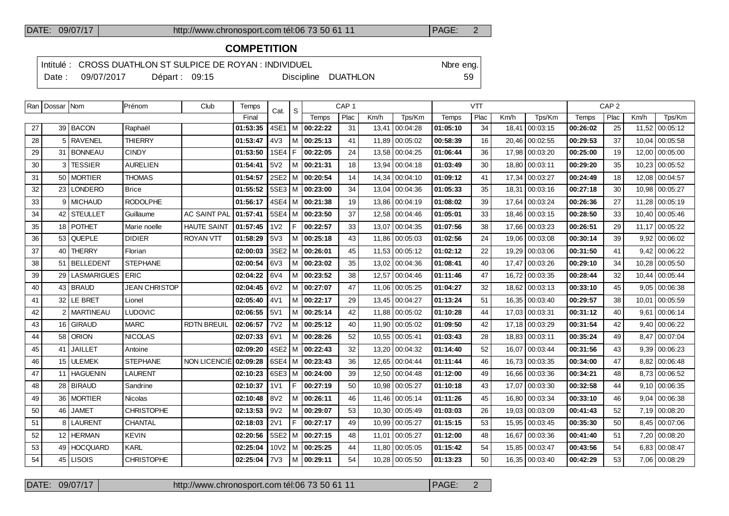### DATE: 09/07/17 http://www.chronosport.com tél:06 73 50 61 11 PAGE: 2

## **COMPETITION**

Intitulé : CROSS DUATHLON ST SULPICE DE ROYAN : INDIVIDUEL Note that the eng.

Date : 09/07/2017 Départ : 09:15 Discipline DUATHLON 59

|    |                    | Dale, $U_0U_1ZU_1I$ |                      | Depair. 09.10                             |                  |                 |     | DISCIPILITY DUATHLON |                  |      |                | ວອ       |            |      |                |          |                  |       |                 |
|----|--------------------|---------------------|----------------------|-------------------------------------------|------------------|-----------------|-----|----------------------|------------------|------|----------------|----------|------------|------|----------------|----------|------------------|-------|-----------------|
|    | Ran   Dossar   Nom |                     | Prénom               | Club                                      | Temps            | Cat. $\vert$ S  |     |                      | CAP <sub>1</sub> |      |                |          | <b>VTT</b> |      |                |          | CAP <sub>2</sub> |       |                 |
|    |                    |                     |                      |                                           | Final            |                 |     | Temps                | Plac             | Km/h | Tps/Km         | Temps    | Plac       | Km/h | Tps/Km         | Temps    | Plac             | Km/h  | Tps/Km          |
| 27 |                    | 39 BACON            | Raphaël              |                                           | 01:53:35         |                 |     | 4SE1   M   00:22:22  | 31               |      | 13,41 00:04:28 | 01:05:10 | 34         |      | 18,41 00:03:15 | 00:26:02 | 25               | 11,52 | 00:05:12        |
| 28 |                    | 5 RAVENEL           | <b>THIERRY</b>       |                                           | 01:53:47         | 4V3             |     | M 00:25:13           | 41               |      | 11,89 00:05:02 | 00:58:39 | 16         |      | 20,46 00:02:55 | 00:29:53 | 37               | 10,04 | 00:05:58        |
| 29 |                    | 31 BONNEAU          | <b>CINDY</b>         |                                           | 01:53:50         | 1SE4 F          |     | 00:22:05             | 24               |      | 13,58 00:04:25 | 01:06:44 | 36         |      | 17,98 00:03:20 | 00:25:00 | 19               | 12,00 | 00:05:00        |
| 30 |                    | 3 TESSIER           | <b>AURELIEN</b>      |                                           | 01:54:41         | 5V <sub>2</sub> |     | M   00:21:31         | 18               |      | 13,94 00:04:18 | 01:03:49 | 30         |      | 18,80 00:03:11 | 00:29:20 | 35               | 10,23 | 00:05:52        |
| 31 |                    | 50 MORTIER          | <b>THOMAS</b>        |                                           | 01:54:57         |                 |     | 2SE2   M   00:20:54  | 14               |      | 14,34 00:04:10 | 01:09:12 | 41         |      | 17,34 00:03:27 | 00:24:49 | 18               | 12,08 | 00:04:57        |
| 32 |                    | 23 LONDERO          | <b>Brice</b>         |                                           | 01:55:52         |                 |     | 5SE3   M   00:23:00  | 34               |      | 13,04 00:04:36 | 01:05:33 | 35         |      | 18,31 00:03:16 | 00:27:18 | 30               |       | 10,98 00:05:27  |
| 33 |                    | 9 MICHAUD           | <b>RODOLPHE</b>      |                                           | 01:56:17         |                 |     | 4SE4   M   00:21:38  | 19               |      | 13,86 00:04:19 | 01:08:02 | 39         |      | 17,64 00:03:24 | 00:26:36 | 27               | 11,28 | 00:05:19        |
| 34 |                    | 42 STEULLET         | Guillaume            | <b>AC SAINT PAL</b>                       | 01:57:41         |                 |     | 5SE4   M   00:23:50  | 37               |      | 12,58 00:04:46 | 01:05:01 | 33         |      | 18,46 00:03:15 | 00:28:50 | 33               |       | 10,40 00:05:46  |
| 35 |                    | 18 POTHET           | Marie noelle         | <b>HAUTE SAINT</b>                        | 01:57:45 1V2     |                 | l F | 00:22:57             | 33               |      | 13,07 00:04:35 | 01:07:56 | 38         |      | 17,66 00:03:23 | 00:26:51 | 29               |       | 11,17 00:05:22  |
| 36 |                    | 53 QUEPLE           | <b>DIDIER</b>        | <b>ROYAN VTT</b>                          | 01:58:29         | 5V3             |     | M 00:25:18           | 43               |      | 11,86 00:05:03 | 01:02:56 | 24         |      | 19,06 00:03:08 | 00:30:14 | 39               |       | 9,92   00:06:02 |
| 37 |                    | 40 THERRY           | Florian              |                                           | 02:00:03         |                 |     | 3SE2   M   00:26:01  | 45               |      | 11,53 00:05:12 | 01:02:12 | 22         |      | 19,29 00:03:06 | 00:31:50 | 41               |       | $9,42$ 00:06:22 |
| 38 |                    | 51 BELLEDENT        | <b>STEPHANE</b>      |                                           | 02:00:54         | 6V3             |     | M   00:23:02         | 35               |      | 13,02 00:04:36 | 01:08:41 | 40         |      | 17,47 00:03:26 | 00:29:10 | 34               | 10,28 | 00:05:50        |
| 39 |                    | 29 LASMARIGUES ERIC |                      |                                           | 02:04:22         | 6V4             |     | M 00:23:52           | 38               |      | 12,57 00:04:46 | 01:11:46 | 47         |      | 16,72 00:03:35 | 00:28:44 | 32               | 10.44 | 00:05:44        |
| 40 |                    | 43   BRAUD          | <b>JEAN CHRISTOP</b> |                                           | $02:04:45$ 6V2   |                 |     | M   00:27:07         | 47               |      | 11,06 00:05:25 | 01:04:27 | 32         |      | 18,62 00:03:13 | 00:33:10 | 45               | 9,05  | 00:06:38        |
| 41 |                    | 32 LE BRET          | Lionel               |                                           | 02:05:40         | 4V1             |     | M 00:22:17           | 29               |      | 13,45 00:04:27 | 01:13:24 | 51         |      | 16,35 00:03:40 | 00:29:57 | 38               | 10,01 | 00:05:59        |
| 42 |                    | 2 MARTINEAU         | <b>LUDOVIC</b>       |                                           | $02:06:55$   5V1 |                 |     | M 00:25:14           | 42               |      | 11,88 00:05:02 | 01:10:28 | 44         |      | 17,03 00:03:31 | 00:31:12 | 40               |       | $9,61$ 00:06:14 |
| 43 |                    | 16 GIRAUD           | <b>MARC</b>          | <b>RDTN BREUIL</b>                        | 02:06:57         | <b>7V2</b>      |     | M 00:25:12           | 40               |      | 11,90 00:05:02 | 01:09:50 | 42         |      | 17,18 00:03:29 | 00:31:54 | 42               |       | $9,40$ 00:06:22 |
| 44 |                    | 58 ORION            | <b>NICOLAS</b>       |                                           | 02:07:33         | 6V1             |     | M 00:28:26           | 52               |      | 10,55 00:05:41 | 01:03:43 | 28         |      | 18,83 00:03:11 | 00:35:24 | 49               |       | 8,47 00:07:04   |
| 45 | 41 <sup>1</sup>    | JAILLET             | Antoine              |                                           | 02:09:20         |                 |     | 4SE2   M   00:22:43  | 32               |      | 13,20 00:04:32 | 01:14:40 | 52         |      | 16,07 00:03:44 | 00:31:56 | 43               |       | 9,39 00:06:23   |
| 46 |                    | 15 ULEMEK           | <b>STEPHANE</b>      | NON LICENCIÉ 02:09:28 6SE4   M   00:23:43 |                  |                 |     |                      | 36               |      | 12.65 00:04:44 | 01:11:44 | 46         |      | 16.73 00:03:35 | 00:34:00 | 47               |       | 8.82   00:06:48 |

| 45 | 41 I JAILLET | Antoine           |                  |  | 02:09:20 14SE2 IM 100:22:43    | 32 | 13,20   00:04:32 | 101:14:40 | 52 | 16,07   00:03:44 | 00:31:56 | 43 | 9.39   00:06:23 |
|----|--------------|-------------------|------------------|--|--------------------------------|----|------------------|-----------|----|------------------|----------|----|-----------------|
| 46 | 15 ULEMEK    | <b>STEPHANE</b>   |                  |  |                                | 36 | 12.65 00:04:44   | 01:11:44  | 46 | 16,73 00:03:35   | 00:34:00 | 47 | 8.82 00:06:48   |
| 47 | 11 HAGUENIN  | LAURENT           |                  |  | 02:10:23   6SE3   M   00:24:00 | 39 | 12,50 00:04:48   | 01:12:00  | 49 | 16,66 00:03:36   | 00:34:21 | 48 | 8,73 00:06:52   |
| 48 | 28 BIRAUD    | Sandrine          | $02:10:37$   1V1 |  | 00:27:19                       | 50 | 10.98 00:05:27   | 01:10:18  | 43 | 17,07 00:03:30   | 00:32:58 | 44 | 9,10 00:06:35   |
| 49 | 36   MORTIER | Nicolas           | $02:10:48$ 8V2   |  | M 00:26:11                     | 46 | 11.46 00:05:14   | 01:11:26  | 45 | 16,80 00:03:34   | 00:33:10 | 46 | 9.04 00:06:38   |
| 50 | 46 JAMET     | <b>CHRISTOPHE</b> | $02:13:53$ 9V2   |  | 1 100:29:07                    | 53 | 10,30 00:05:49   | 01:03:03  | 26 | 19,03 00:03:09   | 00:41:43 | 52 | 7,19 00:08:20   |
| 51 | 8   LAURENT  | I CHANTAL         | $02:18:03$ 2V1   |  | 00:27:17                       | 49 | 10,99 00:05:27   | 01:15:15  | 53 | 15,95 00:03:45   | 00:35:30 | 50 | 8,45 00:07:06   |
| 52 | 12 HERMAN    | <b>KEVIN</b>      |                  |  | 02:20:56   5SE2   M   00:27:15 | 48 | 11,01 00:05:27   | 01:12:00  | 48 | 16,67 00:03:36   | 00:41:40 | 51 | 7.20 00:08:20   |
| 53 | 49 HOCQUARD  | KARL              | 02:25:04         |  | 10V2   M <b>  00:25:25</b>     | 44 | 11,80 00:05:05   | 01:15:42  | 54 | 15.85 00:03:47   | 00:43:56 | 54 | 6.83 00:08:47   |
| 54 | 45 LISOIS    | <b>CHRISTOPHE</b> | $02:25:04$   7V3 |  | 00:29:11                       | 54 | 10.28 00:05:50   | 101:13:23 | 50 | 16,35 00:03:40   | 00:42:29 | 53 | 7,06 00:08:29   |
|    |              |                   |                  |  |                                |    |                  |           |    |                  |          |    |                 |

DATE: 09/07/17 http://www.chronosport.com tél:06 73 50 61 11 PAGE: 2